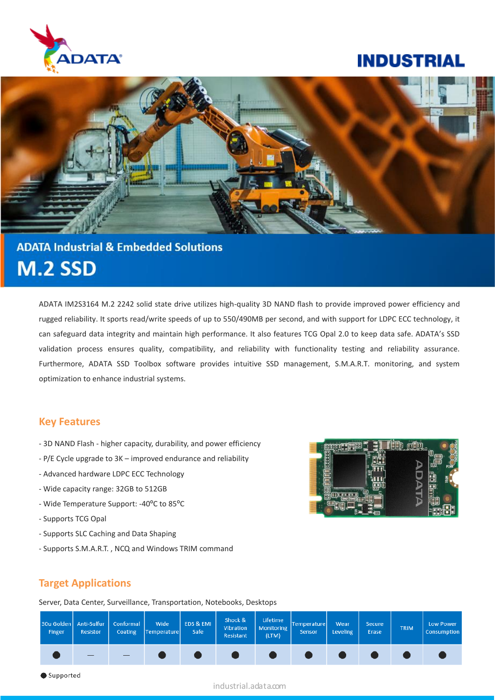

## **INDUSTRIAL**



# **ADATA Industrial & Embedded Solutions M.2 SSD**

ADATA IM2S3164 M.2 2242 solid state drive utilizes high-quality 3D NAND flash to provide improved power efficiency and rugged reliability. It sports read/write speeds of up to 550/490MB per second, and with support for LDPC ECC technology, it can safeguard data integrity and maintain high performance. It also features TCG Opal 2.0 to keep data safe. ADATA's SSD validation process ensures quality, compatibility, and reliability with functionality testing and reliability assurance. Furthermore, ADATA SSD Toolbox software provides intuitive SSD management, S.M.A.R.T. monitoring, and system optimization to enhance industrial systems.

#### **Key Features**

- 3D NAND Flash higher capacity, durability, and power efficiency
- P/E Cycle upgrade to 3K improved endurance and reliability
- Advanced hardware LDPC ECC Technology
- Wide capacity range: 32GB to 512GB
- Wide Temperature Support: -40ºC to 85ºC
- Supports TCG Opal
- Supports SLC Caching and Data Shaping
- Supports S.M.A.R.T. , NCQ and Windows TRIM command



#### **Target Applications**

Server, Data Center, Surveillance, Transportation, Notebooks, Desktops



industrial.adata.com